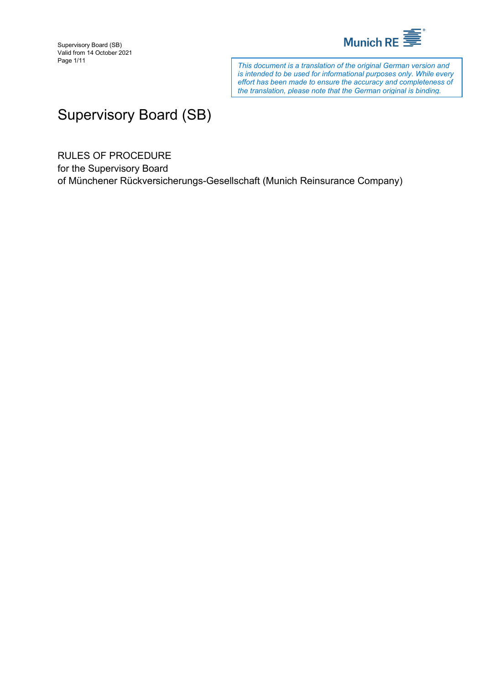

*This document is a translation of the original German version and is intended to be used for informational purposes only. While every effort has been made to ensure the accuracy and completeness of the translation, please note that the German original is binding.*

# Supervisory Board (SB)

RULES OF PROCEDURE

for the Supervisory Board of Münchener Rückversicherungs-Gesellschaft (Munich Reinsurance Company)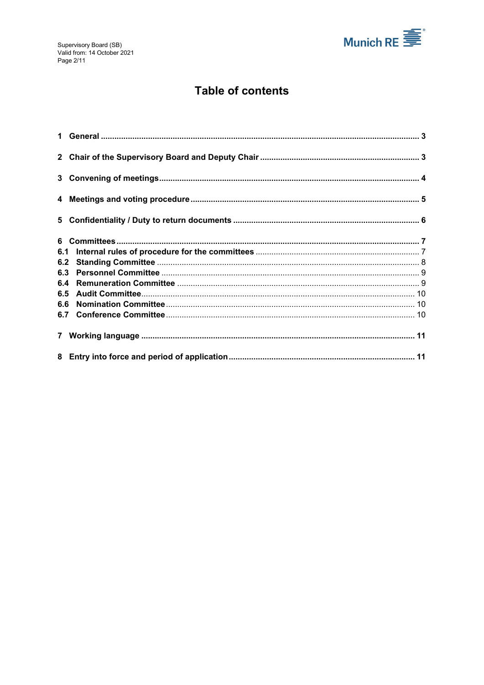

# **Table of contents**

| 6.1 |  |
|-----|--|
| 6.2 |  |
| 6.3 |  |
| 6.4 |  |
| 6.5 |  |
| 6.6 |  |
|     |  |
|     |  |
|     |  |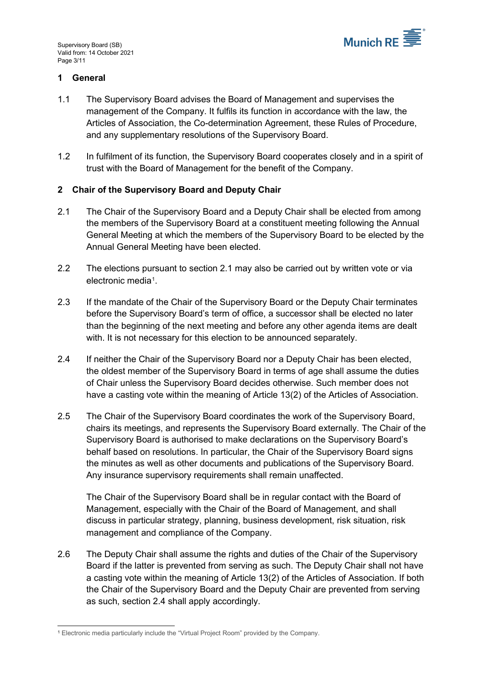

# <span id="page-2-0"></span>**1 General**

- 1.1 The Supervisory Board advises the Board of Management and supervises the management of the Company. It fulfils its function in accordance with the law, the Articles of Association, the Co-determination Agreement, these Rules of Procedure, and any supplementary resolutions of the Supervisory Board.
- 1.2 In fulfilment of its function, the Supervisory Board cooperates closely and in a spirit of trust with the Board of Management for the benefit of the Company.

### <span id="page-2-1"></span>**2 Chair of the Supervisory Board and Deputy Chair**

- <span id="page-2-2"></span>2.1 The Chair of the Supervisory Board and a Deputy Chair shall be elected from among the members of the Supervisory Board at a constituent meeting following the Annual General Meeting at which the members of the Supervisory Board to be elected by the Annual General Meeting have been elected.
- <span id="page-2-5"></span>2.2 The elections pursuant to section [2.1](#page-2-2) may also be carried out by written vote or via electronic media[1.](#page-2-4)
- 2.3 If the mandate of the Chair of the Supervisory Board or the Deputy Chair terminates before the Supervisory Board's term of office, a successor shall be elected no later than the beginning of the next meeting and before any other agenda items are dealt with. It is not necessary for this election to be announced separately.
- <span id="page-2-3"></span>2.4 If neither the Chair of the Supervisory Board nor a Deputy Chair has been elected, the oldest member of the Supervisory Board in terms of age shall assume the duties of Chair unless the Supervisory Board decides otherwise. Such member does not have a casting vote within the meaning of Article 13(2) of the Articles of Association.
- 2.5 The Chair of the Supervisory Board coordinates the work of the Supervisory Board, chairs its meetings, and represents the Supervisory Board externally. The Chair of the Supervisory Board is authorised to make declarations on the Supervisory Board's behalf based on resolutions. In particular, the Chair of the Supervisory Board signs the minutes as well as other documents and publications of the Supervisory Board. Any insurance supervisory requirements shall remain unaffected.

The Chair of the Supervisory Board shall be in regular contact with the Board of Management, especially with the Chair of the Board of Management, and shall discuss in particular strategy, planning, business development, risk situation, risk management and compliance of the Company.

2.6 The Deputy Chair shall assume the rights and duties of the Chair of the Supervisory Board if the latter is prevented from serving as such. The Deputy Chair shall not have a casting vote within the meaning of Article 13(2) of the Articles of Association. If both the Chair of the Supervisory Board and the Deputy Chair are prevented from serving as such, section [2.4](#page-2-3) shall apply accordingly.

<span id="page-2-4"></span><sup>1</sup> Electronic media particularly include the "Virtual Project Room" provided by the Company.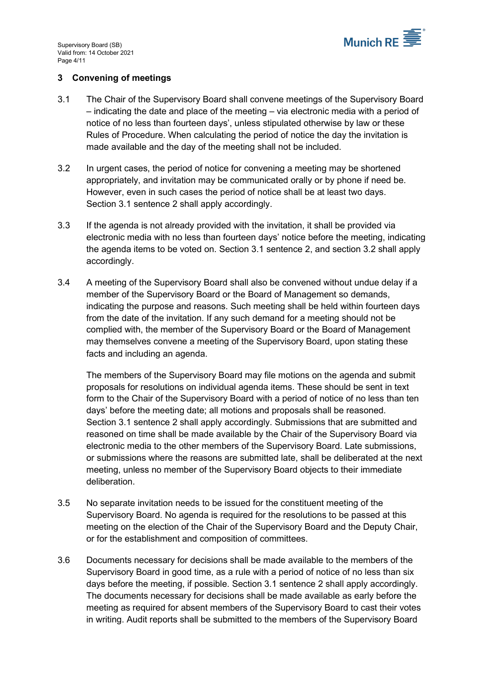

# <span id="page-3-0"></span>**3 Convening of meetings**

- <span id="page-3-1"></span>3.1 The Chair of the Supervisory Board shall convene meetings of the Supervisory Board – indicating the date and place of the meeting – via electronic media with a period of notice of no less than fourteen days', unless stipulated otherwise by law or these Rules of Procedure. When calculating the period of notice the day the invitation is made available and the day of the meeting shall not be included.
- <span id="page-3-2"></span>3.2 In urgent cases, the period of notice for convening a meeting may be shortened appropriately, and invitation may be communicated orally or by phone if need be. However, even in such cases the period of notice shall be at least two days. Section [3.1](#page-3-1) sentence 2 shall apply accordingly.
- 3.3 If the agenda is not already provided with the invitation, it shall be provided via electronic media with no less than fourteen days' notice before the meeting, indicating the agenda items to be voted on. Section [3.1](#page-3-1) sentence 2, and section [3.2](#page-3-2) shall apply accordingly.
- <span id="page-3-3"></span>3.4 A meeting of the Supervisory Board shall also be convened without undue delay if a member of the Supervisory Board or the Board of Management so demands, indicating the purpose and reasons. Such meeting shall be held within fourteen days from the date of the invitation. If any such demand for a meeting should not be complied with, the member of the Supervisory Board or the Board of Management may themselves convene a meeting of the Supervisory Board, upon stating these facts and including an agenda.

The members of the Supervisory Board may file motions on the agenda and submit proposals for resolutions on individual agenda items. These should be sent in text form to the Chair of the Supervisory Board with a period of notice of no less than ten days' before the meeting date; all motions and proposals shall be reasoned. Section [3.1](#page-3-1) sentence 2 shall apply accordingly. Submissions that are submitted and reasoned on time shall be made available by the Chair of the Supervisory Board via electronic media to the other members of the Supervisory Board. Late submissions, or submissions where the reasons are submitted late, shall be deliberated at the next meeting, unless no member of the Supervisory Board objects to their immediate deliberation.

- 3.5 No separate invitation needs to be issued for the constituent meeting of the Supervisory Board. No agenda is required for the resolutions to be passed at this meeting on the election of the Chair of the Supervisory Board and the Deputy Chair, or for the establishment and composition of committees.
- 3.6 Documents necessary for decisions shall be made available to the members of the Supervisory Board in good time, as a rule with a period of notice of no less than six days before the meeting, if possible. Section [3.1](#page-3-1) sentence 2 shall apply accordingly. The documents necessary for decisions shall be made available as early before the meeting as required for absent members of the Supervisory Board to cast their votes in writing. Audit reports shall be submitted to the members of the Supervisory Board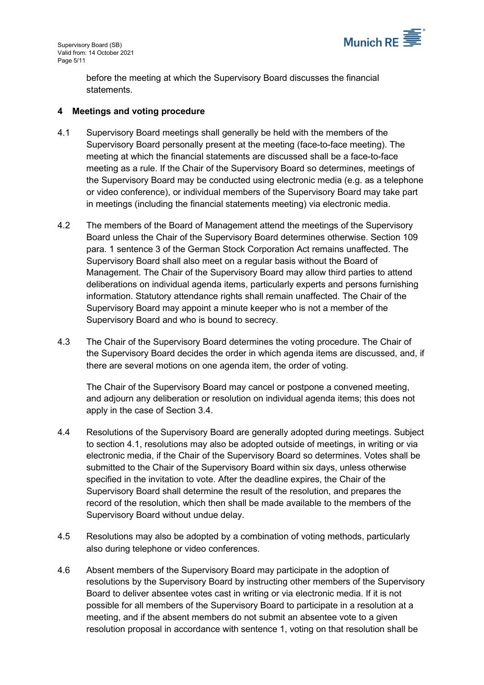

before the meeting at which the Supervisory Board discusses the financial statements.

#### <span id="page-4-0"></span>**4 Meetings and voting procedure**

- <span id="page-4-1"></span>4.1 Supervisory Board meetings shall generally be held with the members of the Supervisory Board personally present at the meeting (face-to-face meeting). The meeting at which the financial statements are discussed shall be a face-to-face meeting as a rule. If the Chair of the Supervisory Board so determines, meetings of the Supervisory Board may be conducted using electronic media (e.g. as a telephone or video conference), or individual members of the Supervisory Board may take part in meetings (including the financial statements meeting) via electronic media.
- 4.2 The members of the Board of Management attend the meetings of the Supervisory Board unless the Chair of the Supervisory Board determines otherwise. Section 109 para. 1 sentence 3 of the German Stock Corporation Act remains unaffected. The Supervisory Board shall also meet on a regular basis without the Board of Management. The Chair of the Supervisory Board may allow third parties to attend deliberations on individual agenda items, particularly experts and persons furnishing information. Statutory attendance rights shall remain unaffected. The Chair of the Supervisory Board may appoint a minute keeper who is not a member of the Supervisory Board and who is bound to secrecy.
- 4.3 The Chair of the Supervisory Board determines the voting procedure. The Chair of the Supervisory Board decides the order in which agenda items are discussed, and, if there are several motions on one agenda item, the order of voting.

The Chair of the Supervisory Board may cancel or postpone a convened meeting, and adjourn any deliberation or resolution on individual agenda items; this does not apply in the case of Section [3.4.](#page-3-3)

- <span id="page-4-2"></span>4.4 Resolutions of the Supervisory Board are generally adopted during meetings. Subject to section [4.1,](#page-4-1) resolutions may also be adopted outside of meetings, in writing or via electronic media, if the Chair of the Supervisory Board so determines. Votes shall be submitted to the Chair of the Supervisory Board within six days, unless otherwise specified in the invitation to vote. After the deadline expires, the Chair of the Supervisory Board shall determine the result of the resolution, and prepares the record of the resolution, which then shall be made available to the members of the Supervisory Board without undue delay.
- 4.5 Resolutions may also be adopted by a combination of voting methods, particularly also during telephone or video conferences.
- 4.6 Absent members of the Supervisory Board may participate in the adoption of resolutions by the Supervisory Board by instructing other members of the Supervisory Board to deliver absentee votes cast in writing or via electronic media. If it is not possible for all members of the Supervisory Board to participate in a resolution at a meeting, and if the absent members do not submit an absentee vote to a given resolution proposal in accordance with sentence 1, voting on that resolution shall be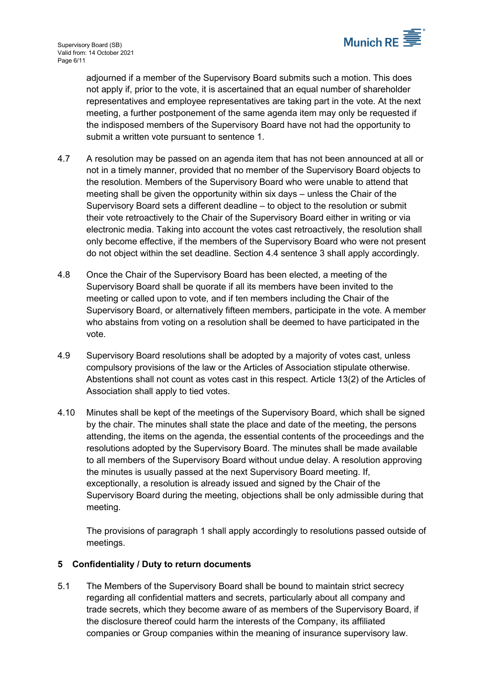

adjourned if a member of the Supervisory Board submits such a motion. This does not apply if, prior to the vote, it is ascertained that an equal number of shareholder representatives and employee representatives are taking part in the vote. At the next meeting, a further postponement of the same agenda item may only be requested if the indisposed members of the Supervisory Board have not had the opportunity to submit a written vote pursuant to sentence 1.

- 4.7 A resolution may be passed on an agenda item that has not been announced at all or not in a timely manner, provided that no member of the Supervisory Board objects to the resolution. Members of the Supervisory Board who were unable to attend that meeting shall be given the opportunity within six days – unless the Chair of the Supervisory Board sets a different deadline – to object to the resolution or submit their vote retroactively to the Chair of the Supervisory Board either in writing or via electronic media. Taking into account the votes cast retroactively, the resolution shall only become effective, if the members of the Supervisory Board who were not present do not object within the set deadline. Section [4.4](#page-4-2) sentence 3 shall apply accordingly.
- 4.8 Once the Chair of the Supervisory Board has been elected, a meeting of the Supervisory Board shall be quorate if all its members have been invited to the meeting or called upon to vote, and if ten members including the Chair of the Supervisory Board, or alternatively fifteen members, participate in the vote. A member who abstains from voting on a resolution shall be deemed to have participated in the vote.
- 4.9 Supervisory Board resolutions shall be adopted by a majority of votes cast, unless compulsory provisions of the law or the Articles of Association stipulate otherwise. Abstentions shall not count as votes cast in this respect. Article 13(2) of the Articles of Association shall apply to tied votes.
- 4.10 Minutes shall be kept of the meetings of the Supervisory Board, which shall be signed by the chair. The minutes shall state the place and date of the meeting, the persons attending, the items on the agenda, the essential contents of the proceedings and the resolutions adopted by the Supervisory Board. The minutes shall be made available to all members of the Supervisory Board without undue delay. A resolution approving the minutes is usually passed at the next Supervisory Board meeting. If, exceptionally, a resolution is already issued and signed by the Chair of the Supervisory Board during the meeting, objections shall be only admissible during that meeting.

The provisions of paragraph 1 shall apply accordingly to resolutions passed outside of meetings.

# <span id="page-5-0"></span>**5 Confidentiality / Duty to return documents**

<span id="page-5-1"></span>5.1 The Members of the Supervisory Board shall be bound to maintain strict secrecy regarding all confidential matters and secrets, particularly about all company and trade secrets, which they become aware of as members of the Supervisory Board, if the disclosure thereof could harm the interests of the Company, its affiliated companies or Group companies within the meaning of insurance supervisory law.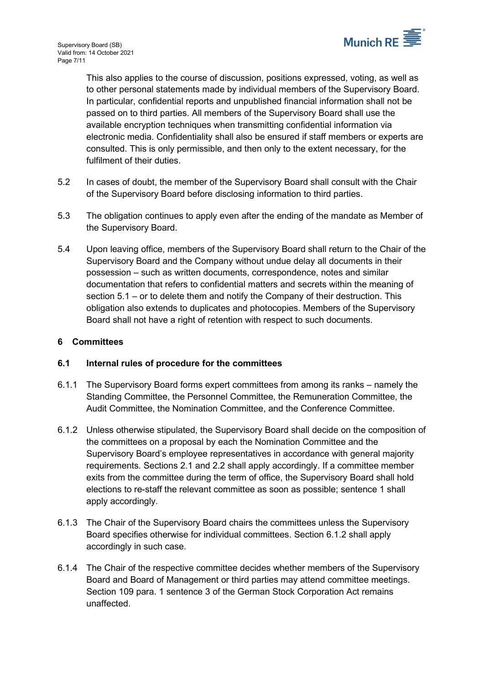

This also applies to the course of discussion, positions expressed, voting, as well as to other personal statements made by individual members of the Supervisory Board. In particular, confidential reports and unpublished financial information shall not be passed on to third parties. All members of the Supervisory Board shall use the available encryption techniques when transmitting confidential information via electronic media. Confidentiality shall also be ensured if staff members or experts are consulted. This is only permissible, and then only to the extent necessary, for the fulfilment of their duties.

- 5.2 In cases of doubt, the member of the Supervisory Board shall consult with the Chair of the Supervisory Board before disclosing information to third parties.
- 5.3 The obligation continues to apply even after the ending of the mandate as Member of the Supervisory Board.
- 5.4 Upon leaving office, members of the Supervisory Board shall return to the Chair of the Supervisory Board and the Company without undue delay all documents in their possession – such as written documents, correspondence, notes and similar documentation that refers to confidential matters and secrets within the meaning of section [5.1](#page-5-1) – or to delete them and notify the Company of their destruction. This obligation also extends to duplicates and photocopies. Members of the Supervisory Board shall not have a right of retention with respect to such documents.

# <span id="page-6-0"></span>**6 Committees**

# <span id="page-6-1"></span>**6.1 Internal rules of procedure for the committees**

- 6.1.1 The Supervisory Board forms expert committees from among its ranks namely the Standing Committee, the Personnel Committee, the Remuneration Committee, the Audit Committee, the Nomination Committee, and the Conference Committee.
- <span id="page-6-2"></span>6.1.2 Unless otherwise stipulated, the Supervisory Board shall decide on the composition of the committees on a proposal by each the Nomination Committee and the Supervisory Board's employee representatives in accordance with general majority requirements. Sections [2.1](#page-2-2) and [2.2](#page-2-5) shall apply accordingly. If a committee member exits from the committee during the term of office, the Supervisory Board shall hold elections to re-staff the relevant committee as soon as possible; sentence 1 shall apply accordingly.
- 6.1.3 The Chair of the Supervisory Board chairs the committees unless the Supervisory Board specifies otherwise for individual committees. Section [6.1.2](#page-6-2) shall apply accordingly in such case.
- 6.1.4 The Chair of the respective committee decides whether members of the Supervisory Board and Board of Management or third parties may attend committee meetings. Section 109 para. 1 sentence 3 of the German Stock Corporation Act remains unaffected.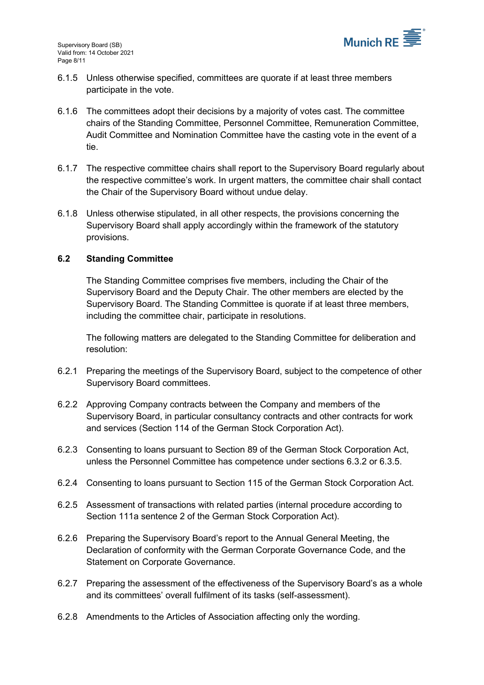

- 6.1.5 Unless otherwise specified, committees are quorate if at least three members participate in the vote.
- 6.1.6 The committees adopt their decisions by a majority of votes cast. The committee chairs of the Standing Committee, Personnel Committee, Remuneration Committee, Audit Committee and Nomination Committee have the casting vote in the event of a tie.
- 6.1.7 The respective committee chairs shall report to the Supervisory Board regularly about the respective committee's work. In urgent matters, the committee chair shall contact the Chair of the Supervisory Board without undue delay.
- 6.1.8 Unless otherwise stipulated, in all other respects, the provisions concerning the Supervisory Board shall apply accordingly within the framework of the statutory provisions.

### <span id="page-7-0"></span>**6.2 Standing Committee**

The Standing Committee comprises five members, including the Chair of the Supervisory Board and the Deputy Chair. The other members are elected by the Supervisory Board. The Standing Committee is quorate if at least three members, including the committee chair, participate in resolutions.

The following matters are delegated to the Standing Committee for deliberation and resolution:

- 6.2.1 Preparing the meetings of the Supervisory Board, subject to the competence of other Supervisory Board committees.
- 6.2.2 Approving Company contracts between the Company and members of the Supervisory Board, in particular consultancy contracts and other contracts for work and services (Section 114 of the German Stock Corporation Act).
- 6.2.3 Consenting to loans pursuant to Section 89 of the German Stock Corporation Act, unless the Personnel Committee has competence under sections [6.3.2](#page-8-2) or [6.3.5.](#page-8-3)
- 6.2.4 Consenting to loans pursuant to Section 115 of the German Stock Corporation Act.
- 6.2.5 Assessment of transactions with related parties (internal procedure according to Section 111a sentence 2 of the German Stock Corporation Act).
- 6.2.6 Preparing the Supervisory Board's report to the Annual General Meeting, the Declaration of conformity with the German Corporate Governance Code, and the Statement on Corporate Governance.
- 6.2.7 Preparing the assessment of the effectiveness of the Supervisory Board's as a whole and its committees' overall fulfilment of its tasks (self-assessment).
- 6.2.8 Amendments to the Articles of Association affecting only the wording.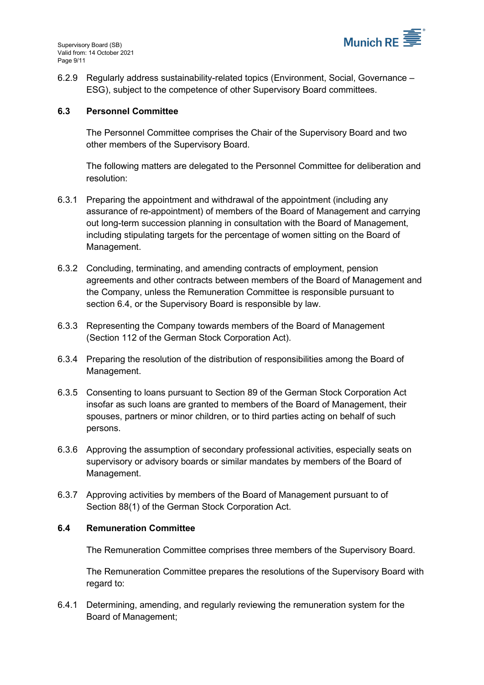

6.2.9 Regularly address sustainability-related topics (Environment, Social, Governance – ESG), subject to the competence of other Supervisory Board committees.

#### <span id="page-8-0"></span>**6.3 Personnel Committee**

The Personnel Committee comprises the Chair of the Supervisory Board and two other members of the Supervisory Board.

The following matters are delegated to the Personnel Committee for deliberation and resolution:

- 6.3.1 Preparing the appointment and withdrawal of the appointment (including any assurance of re-appointment) of members of the Board of Management and carrying out long-term succession planning in consultation with the Board of Management, including stipulating targets for the percentage of women sitting on the Board of Management.
- <span id="page-8-2"></span>6.3.2 Concluding, terminating, and amending contracts of employment, pension agreements and other contracts between members of the Board of Management and the Company, unless the Remuneration Committee is responsible pursuant to section [6.4,](#page-8-1) or the Supervisory Board is responsible by law.
- 6.3.3 Representing the Company towards members of the Board of Management (Section 112 of the German Stock Corporation Act).
- 6.3.4 Preparing the resolution of the distribution of responsibilities among the Board of Management.
- <span id="page-8-3"></span>6.3.5 Consenting to loans pursuant to Section 89 of the German Stock Corporation Act insofar as such loans are granted to members of the Board of Management, their spouses, partners or minor children, or to third parties acting on behalf of such persons.
- 6.3.6 Approving the assumption of secondary professional activities, especially seats on supervisory or advisory boards or similar mandates by members of the Board of Management.
- 6.3.7 Approving activities by members of the Board of Management pursuant to of Section 88(1) of the German Stock Corporation Act.

#### <span id="page-8-1"></span>**6.4 Remuneration Committee**

The Remuneration Committee comprises three members of the Supervisory Board.

The Remuneration Committee prepares the resolutions of the Supervisory Board with regard to:

6.4.1 Determining, amending, and regularly reviewing the remuneration system for the Board of Management;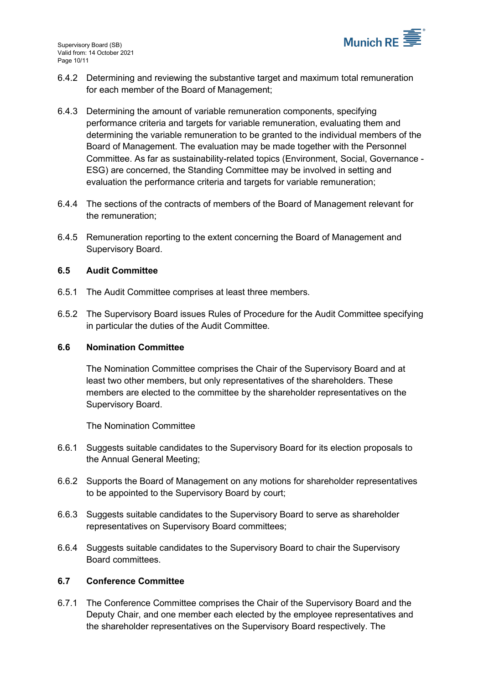

- 6.4.2 Determining and reviewing the substantive target and maximum total remuneration for each member of the Board of Management;
- 6.4.3 Determining the amount of variable remuneration components, specifying performance criteria and targets for variable remuneration, evaluating them and determining the variable remuneration to be granted to the individual members of the Board of Management. The evaluation may be made together with the Personnel Committee. As far as sustainability-related topics (Environment, Social, Governance - ESG) are concerned, the Standing Committee may be involved in setting and evaluation the performance criteria and targets for variable remuneration;
- 6.4.4 The sections of the contracts of members of the Board of Management relevant for the remuneration;
- 6.4.5 Remuneration reporting to the extent concerning the Board of Management and Supervisory Board.

#### <span id="page-9-0"></span>**6.5 Audit Committee**

- 6.5.1 The Audit Committee comprises at least three members.
- 6.5.2 The Supervisory Board issues Rules of Procedure for the Audit Committee specifying in particular the duties of the Audit Committee.

#### <span id="page-9-1"></span>**6.6 Nomination Committee**

The Nomination Committee comprises the Chair of the Supervisory Board and at least two other members, but only representatives of the shareholders. These members are elected to the committee by the shareholder representatives on the Supervisory Board.

The Nomination Committee

- 6.6.1 Suggests suitable candidates to the Supervisory Board for its election proposals to the Annual General Meeting;
- 6.6.2 Supports the Board of Management on any motions for shareholder representatives to be appointed to the Supervisory Board by court;
- 6.6.3 Suggests suitable candidates to the Supervisory Board to serve as shareholder representatives on Supervisory Board committees;
- 6.6.4 Suggests suitable candidates to the Supervisory Board to chair the Supervisory Board committees.

#### <span id="page-9-2"></span>**6.7 Conference Committee**

6.7.1 The Conference Committee comprises the Chair of the Supervisory Board and the Deputy Chair, and one member each elected by the employee representatives and the shareholder representatives on the Supervisory Board respectively. The